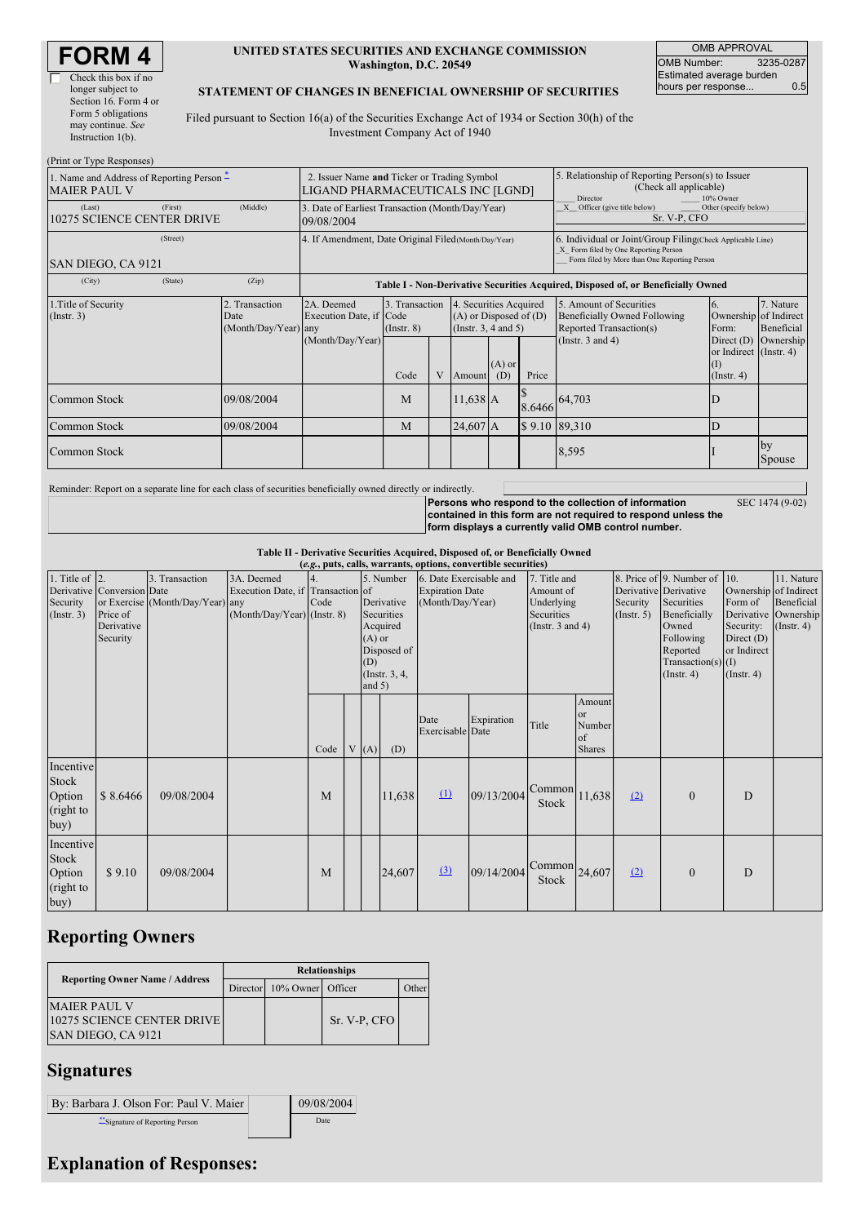| <b>FORM4</b> |
|--------------|
|--------------|

| Check this box if no  |
|-----------------------|
| longer subject to     |
| Section 16. Form 4 or |
| Form 5 obligations    |
| may continue. See     |
| Instruction $1(b)$ .  |

 $(Print or True)$ 

### **UNITED STATES SECURITIES AND EXCHANGE COMMISSION Washington, D.C. 20549**

OMB APPROVAL OMB Number: 3235-0287 Estimated average burden hours per response... 0.5

### **STATEMENT OF CHANGES IN BENEFICIAL OWNERSHIP OF SECURITIES**

Filed pursuant to Section 16(a) of the Securities Exchange Act of 1934 or Section 30(h) of the Investment Company Act of 1940

| 1. Name and Address of Reporting Person –<br><b>MAIER PAUL V</b> | 2. Issuer Name and Ticker or Trading Symbol<br>LIGAND PHARMACEUTICALS INC [LGND] |                                                   |                                                                |                                           |            | 5. Relationship of Reporting Person(s) to Issuer<br>(Check all applicable)<br>Director<br>10% Owner                    |                                                                                                                                                    |               |                                                                                                             |                                                                                                                         |                         |  |  |
|------------------------------------------------------------------|----------------------------------------------------------------------------------|---------------------------------------------------|----------------------------------------------------------------|-------------------------------------------|------------|------------------------------------------------------------------------------------------------------------------------|----------------------------------------------------------------------------------------------------------------------------------------------------|---------------|-------------------------------------------------------------------------------------------------------------|-------------------------------------------------------------------------------------------------------------------------|-------------------------|--|--|
| (Last)                                                           | (First)<br><b>10275 SCIENCE CENTER DRIVE</b>                                     | (Middle)                                          | 3. Date of Earliest Transaction (Month/Day/Year)<br>09/08/2004 |                                           |            |                                                                                                                        |                                                                                                                                                    |               | Officer (give title below)<br>Other (specify below)<br>Sr. V-P, CFO                                         |                                                                                                                         |                         |  |  |
| SAN DIEGO, CA 9121                                               | 4. If Amendment, Date Original Filed (Month/Day/Year)                            |                                                   |                                                                |                                           |            |                                                                                                                        | 6. Individual or Joint/Group Filing(Check Applicable Line)<br>X Form filed by One Reporting Person<br>Form filed by More than One Reporting Person |               |                                                                                                             |                                                                                                                         |                         |  |  |
| (City)                                                           | (State)                                                                          | (Zip)                                             |                                                                |                                           |            |                                                                                                                        |                                                                                                                                                    |               | Table I - Non-Derivative Securities Acquired, Disposed of, or Beneficially Owned                            |                                                                                                                         |                         |  |  |
| 1. Title of Security<br>(Insert. 3)                              |                                                                                  | 2.<br>Transaction<br>Date<br>(Month/Day/Year) any | 2A. Deemed<br>Execution Date, if Code<br>(Month/Day/Year)      | 3. Transaction<br>$($ Instr. $8)$<br>Code | V          | 4. Securities Acquired<br>$(A)$ or Disposed of $(D)$<br>(Instr. $3, 4$ and $5$ )<br>$(A)$ or<br>Price<br>(D)<br>Amount |                                                                                                                                                    |               | 5. Amount of Securities<br>Beneficially Owned Following<br>Reported Transaction(s)<br>(Instr. $3$ and $4$ ) | <sup>6.</sup><br>Ownership of Indirect<br>Form:<br>Direct (D) Ownership<br>or Indirect (Instr. 4)<br>(1)<br>(Insert. 4) | 7. Nature<br>Beneficial |  |  |
| Common Stock                                                     |                                                                                  | 09/08/2004                                        |                                                                | M                                         | $11,638$ A |                                                                                                                        |                                                                                                                                                    | 8.6466 64,703 |                                                                                                             |                                                                                                                         |                         |  |  |
| Common Stock                                                     | 24,607 A<br>09/08/2004<br>M                                                      |                                                   | \$9.10 89,310                                                  |                                           | D          |                                                                                                                        |                                                                                                                                                    |               |                                                                                                             |                                                                                                                         |                         |  |  |
| Common Stock                                                     |                                                                                  |                                                   |                                                                |                                           |            |                                                                                                                        |                                                                                                                                                    | 8,595         |                                                                                                             | by<br>Spouse                                                                                                            |                         |  |  |

Reminder: Report on a separate line for each class of securities beneficially owned directly or indirectly.

SEC 1474 (9-02)

**Persons who respond to the collection of information contained in this form are not required to respond unless the form displays a currently valid OMB control number.**

**Table II - Derivative Securities Acquired, Disposed of, or Beneficially Owned**

|                        | (e.g., puts, calls, warrants, options, convertible securities) |                                  |                                   |      |           |          |                         |                          |              |                                       |                      |                              |                       |                       |                      |
|------------------------|----------------------------------------------------------------|----------------------------------|-----------------------------------|------|-----------|----------|-------------------------|--------------------------|--------------|---------------------------------------|----------------------|------------------------------|-----------------------|-----------------------|----------------------|
| 1. Title of $\vert$ 2. |                                                                | 3. Transaction                   | 3A. Deemed                        |      | 5. Number |          | 6. Date Exercisable and |                          | 7. Title and |                                       |                      | 8. Price of 9. Number of 10. |                       | 11. Nature            |                      |
|                        | Derivative Conversion Date                                     |                                  | Execution Date, if Transaction of |      |           |          |                         | <b>Expiration Date</b>   |              | Amount of                             |                      |                              | Derivative Derivative | Ownership of Indirect |                      |
| Security               |                                                                | or Exercise (Month/Day/Year) any |                                   | Code |           |          | Derivative              | (Month/Day/Year)         |              | Underlying                            |                      | Security                     | Securities            | Form of               | Beneficial           |
| (Insert. 3)            | Price of                                                       |                                  | (Month/Day/Year) (Instr. 8)       |      |           |          | Securities              |                          |              | Securities                            |                      | (Insert. 5)                  | Beneficially          |                       | Derivative Ownership |
|                        | Derivative                                                     |                                  |                                   |      |           |          | Acquired                |                          |              | (Instr. $3$ and $4$ )                 |                      |                              | Owned                 | Security:             | $($ Instr. 4 $)$     |
|                        | Security                                                       |                                  |                                   |      |           | $(A)$ or |                         |                          |              |                                       |                      | Following                    | Direct $(D)$          |                       |                      |
|                        |                                                                |                                  |                                   |      |           |          | Disposed of             |                          |              |                                       | Reported             | or Indirect                  |                       |                       |                      |
|                        |                                                                |                                  |                                   |      |           | (D)      |                         |                          |              |                                       | Transaction(s) $(I)$ |                              |                       |                       |                      |
|                        |                                                                |                                  |                                   |      |           | and $5)$ | (Instr. 3, 4,           |                          |              |                                       | (Insert. 4)          | $($ Instr. 4 $)$             |                       |                       |                      |
|                        |                                                                |                                  |                                   |      |           |          |                         |                          |              |                                       | Amount               |                              |                       |                       |                      |
|                        |                                                                |                                  |                                   |      |           |          |                         |                          |              |                                       | <b>or</b>            |                              |                       |                       |                      |
|                        |                                                                |                                  |                                   |      |           |          |                         | Date<br>Exercisable Date | Expiration   | Title                                 | Number               |                              |                       |                       |                      |
|                        |                                                                |                                  |                                   |      |           |          |                         |                          |              |                                       | of                   |                              |                       |                       |                      |
|                        |                                                                |                                  |                                   | Code | V         | (A)      | (D)                     |                          |              |                                       | <b>Shares</b>        |                              |                       |                       |                      |
| Incentive              |                                                                |                                  |                                   |      |           |          |                         |                          |              |                                       |                      |                              |                       |                       |                      |
| Stock                  |                                                                |                                  |                                   |      |           |          |                         |                          |              |                                       |                      |                              |                       |                       |                      |
| Option                 | \$8.6466                                                       | 09/08/2004                       |                                   | M    |           |          | 11,638                  | $\mathbf{\underline{u}}$ | 09/13/2004   | $\text{Common}$ 11,638                |                      | (2)                          | $\mathbf{0}$          | D                     |                      |
|                        |                                                                |                                  |                                   |      |           |          |                         |                          |              | Stock                                 |                      |                              |                       |                       |                      |
| (right to              |                                                                |                                  |                                   |      |           |          |                         |                          |              |                                       |                      |                              |                       |                       |                      |
| buy)                   |                                                                |                                  |                                   |      |           |          |                         |                          |              |                                       |                      |                              |                       |                       |                      |
| Incentive              |                                                                |                                  |                                   |      |           |          |                         |                          |              |                                       |                      |                              |                       |                       |                      |
| Stock                  |                                                                |                                  |                                   |      |           |          |                         |                          |              |                                       |                      |                              |                       |                       |                      |
| Option                 | \$9.10                                                         | 09/08/2004                       |                                   | M    |           |          | 24,607                  | (3)                      | 09/14/2004   | $\left \text{Common}\right _{24,607}$ |                      | (2)                          | $\mathbf{0}$          | D                     |                      |
|                        |                                                                |                                  |                                   |      |           |          |                         |                          |              | Stock                                 |                      |                              |                       |                       |                      |
| (right to              |                                                                |                                  |                                   |      |           |          |                         |                          |              |                                       |                      |                              |                       |                       |                      |
| buy)                   |                                                                |                                  |                                   |      |           |          |                         |                          |              |                                       |                      |                              |                       |                       |                      |

# **Reporting Owners**

|                                                                                | <b>Relationships</b> |                            |              |       |  |  |  |  |
|--------------------------------------------------------------------------------|----------------------|----------------------------|--------------|-------|--|--|--|--|
| <b>Reporting Owner Name / Address</b>                                          |                      | Director 10% Owner Officer |              | Other |  |  |  |  |
| <b>MAIER PAUL V</b><br><b>10275 SCIENCE CENTER DRIVE</b><br>SAN DIEGO, CA 9121 |                      |                            | Sr. V-P. CFO |       |  |  |  |  |

# **Signatures**

| By: Barbara J. Olson For: Paul V. Maier | 09/08/2004 |
|-----------------------------------------|------------|
| ** Signature of Reporting Person        | Date       |

# **Explanation of Responses:**